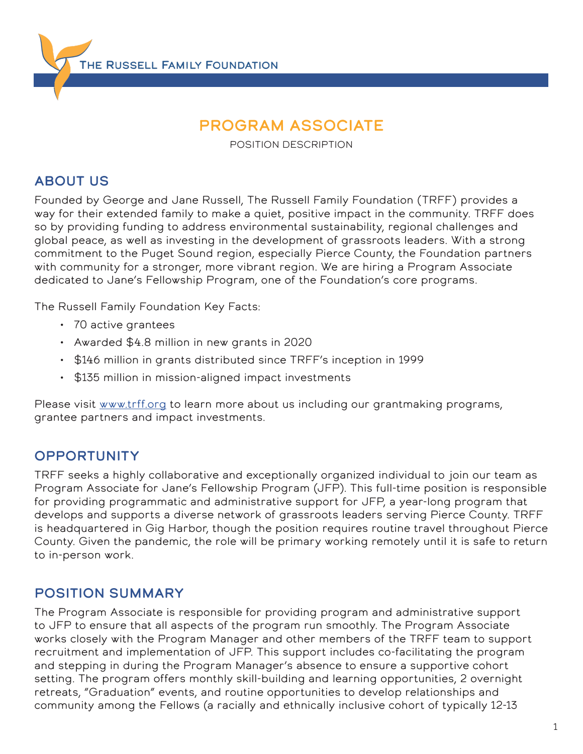THE RUSSELL FAMILY FOUNDATION

# Program Associate

POSITION DESCRIPTION

#### **ABOUT US**

Founded by George and Jane Russell, The Russell Family Foundation (TRFF) provides a way for their extended family to make a quiet, positive impact in the community. TRFF does so by providing funding to address environmental sustainability, regional challenges and global peace, as well as investing in the development of grassroots leaders. With a strong commitment to the Puget Sound region, especially Pierce County, the Foundation partners with community for a stronger, more vibrant region. We are hiring a Program Associate dedicated to Jane's Fellowship Program, one of the Foundation's core programs.

The Russell Family Foundation Key Facts:

- 70 active grantees
- Awarded \$4.8 million in new grants in 2020
- \$146 million in grants distributed since TRFF's inception in 1999
- \$135 million in mission-aligned impact investments

Please visit [www.trff.org](http://www.trff.org) to learn more about us including our grantmaking programs, grantee partners and impact investments.

#### **OPPORTUNITY**

TRFF seeks a highly collaborative and exceptionally organized individual to join our team as Program Associate for Jane's Fellowship Program (JFP). This full-time position is responsible for providing programmatic and administrative support for JFP, a year-long program that develops and supports a diverse network of grassroots leaders serving Pierce County. TRFF is headquartered in Gig Harbor, though the position requires routine travel throughout Pierce County. Given the pandemic, the role will be primary working remotely until it is safe to return to in-person work.

#### position summary

The Program Associate is responsible for providing program and administrative support to JFP to ensure that all aspects of the program run smoothly. The Program Associate works closely with the Program Manager and other members of the TRFF team to support recruitment and implementation of JFP. This support includes co-facilitating the program and stepping in during the Program Manager's absence to ensure a supportive cohort setting. The program offers monthly skill-building and learning opportunities, 2 overnight retreats, "Graduation" events, and routine opportunities to develop relationships and community among the Fellows (a racially and ethnically inclusive cohort of typically 12-13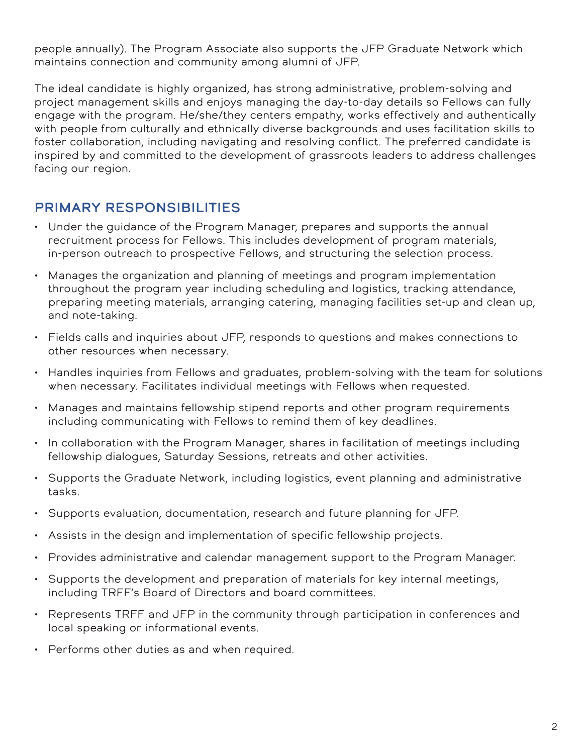people annually). The Program Associate also supports the JFP Graduate Network which maintains connection and community among alumni of JFP.

The ideal candidate is highly organized, has strong administrative, problem-solving and project management skills and enjoys managing the day-to-day details so Fellows can fully engage with the program. He/she/they centers empathy, works effectively and authentically with people from culturally and ethnically diverse backgrounds and uses facilitation skills to foster collaboration, including navigating and resolving conflict. The preferred candidate is inspired by and committed to the development of grassroots leaders to address challenges facing our region.

## Primary Responsibilities

- Under the guidance of the Program Manager, prepares and supports the annual recruitment process for Fellows. This includes development of program materials, in-person outreach to prospective Fellows, and structuring the selection process.
- Manages the organization and planning of meetings and program implementation throughout the program year including scheduling and logistics, tracking attendance, preparing meeting materials, arranging catering, managing facilities set-up and clean up, and note-taking.
- Fields calls and inquiries about JFP, responds to questions and makes connections to other resources when necessary.
- Handles inquiries from Fellows and graduates, problem-solving with the team for solutions when necessary. Facilitates individual meetings with Fellows when requested.
- Manages and maintains fellowship stipend reports and other program requirements including communicating with Fellows to remind them of key deadlines.
- In collaboration with the Program Manager, shares in facilitation of meetings including fellowship dialogues, Saturday Sessions, retreats and other activities.
- Supports the Graduate Network, including logistics, event planning and administrative tasks.
- Supports evaluation, documentation, research and future planning for JFP.
- Assists in the design and implementation of specific fellowship projects.
- Provides administrative and calendar management support to the Program Manager.
- Supports the development and preparation of materials for key internal meetings, including TRFF's Board of Directors and board committees.
- Represents TRFF and JFP in the community through participation in conferences and local speaking or informational events.
- Performs other duties as and when required.